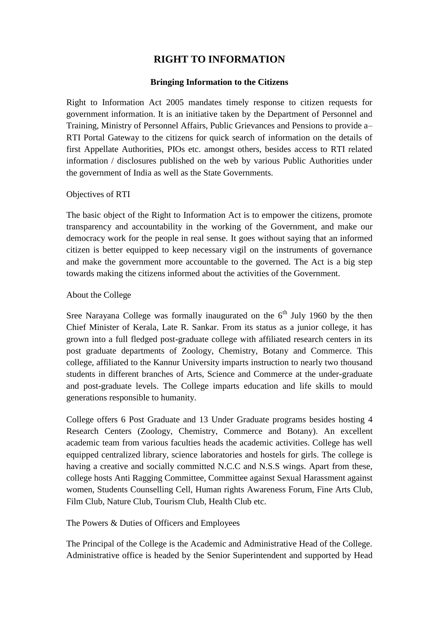## **RIGHT TO INFORMATION**

## **Bringing Information to the Citizens**

Right to Information Act 2005 mandates timely response to citizen requests for government information. It is an initiative taken by the Department of Personnel and Training, Ministry of Personnel Affairs, Public Grievances and Pensions to provide a– RTI Portal Gateway to the citizens for quick search of information on the details of first Appellate Authorities, PIOs etc. amongst others, besides access to RTI related information / disclosures published on the web by various Public Authorities under the government of India as well as the State Governments.

## Objectives of RTI

The basic object of the Right to Information Act is to empower the citizens, promote transparency and accountability in the working of the Government, and make our democracy work for the people in real sense. It goes without saying that an informed citizen is better equipped to keep necessary vigil on the instruments of governance and make the government more accountable to the governed. The Act is a big step towards making the citizens informed about the activities of the Government.

## About the College

Sree Narayana College was formally inaugurated on the  $6<sup>th</sup>$  July 1960 by the then Chief Minister of Kerala, Late R. Sankar. From its status as a junior college, it has grown into a full fledged post-graduate college with affiliated research centers in its post graduate departments of Zoology, Chemistry, Botany and Commerce. This college, affiliated to the Kannur University imparts instruction to nearly two thousand students in different branches of Arts, Science and Commerce at the under-graduate and post-graduate levels. The College imparts education and life skills to mould generations responsible to humanity.

College offers 6 Post Graduate and 13 Under Graduate programs besides hosting 4 Research Centers (Zoology, Chemistry, Commerce and Botany). An excellent academic team from various faculties heads the academic activities. College has well equipped centralized library, science laboratories and hostels for girls. The college is having a creative and socially committed N.C.C and N.S.S wings. Apart from these, college hosts Anti Ragging Committee, Committee against Sexual Harassment against women, Students Counselling Cell, Human rights Awareness Forum, Fine Arts Club, Film Club, Nature Club, Tourism Club, Health Club etc.

The Powers & Duties of Officers and Employees

The Principal of the College is the Academic and Administrative Head of the College. Administrative office is headed by the Senior Superintendent and supported by Head